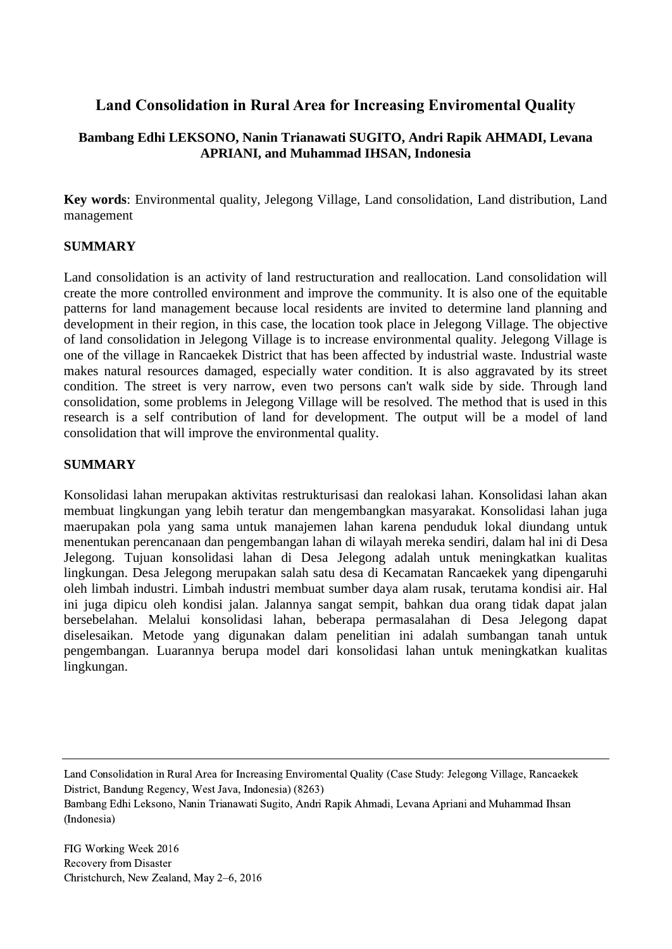# **Land Consolidation in Rural Area for Increasing Enviromental Quality**

## **Bambang Edhi LEKSONO, Nanin Trianawati SUGITO, Andri Rapik AHMADI, Levana APRIANI, and Muhammad IHSAN, Indonesia**

**Key words**: Environmental quality, Jelegong Village, Land consolidation, Land distribution, Land management

#### **SUMMARY**

Land consolidation is an activity of land restructuration and reallocation. Land consolidation will create the more controlled environment and improve the community. It is also one of the equitable patterns for land management because local residents are invited to determine land planning and development in their region, in this case, the location took place in Jelegong Village. The objective of land consolidation in Jelegong Village is to increase environmental quality. Jelegong Village is one of the village in Rancaekek District that has been affected by industrial waste. Industrial waste makes natural resources damaged, especially water condition. It is also aggravated by its street condition. The street is very narrow, even two persons can't walk side by side. Through land consolidation, some problems in Jelegong Village will be resolved. The method that is used in this research is a self contribution of land for development. The output will be a model of land consolidation that will improve the environmental quality.

#### **SUMMARY**

Konsolidasi lahan merupakan aktivitas restrukturisasi dan realokasi lahan. Konsolidasi lahan akan membuat lingkungan yang lebih teratur dan mengembangkan masyarakat. Konsolidasi lahan juga maerupakan pola yang sama untuk manajemen lahan karena penduduk lokal diundang untuk menentukan perencanaan dan pengembangan lahan di wilayah mereka sendiri, dalam hal ini di Desa Jelegong. Tujuan konsolidasi lahan di Desa Jelegong adalah untuk meningkatkan kualitas lingkungan. Desa Jelegong merupakan salah satu desa di Kecamatan Rancaekek yang dipengaruhi oleh limbah industri. Limbah industri membuat sumber daya alam rusak, terutama kondisi air. Hal ini juga dipicu oleh kondisi jalan. Jalannya sangat sempit, bahkan dua orang tidak dapat jalan bersebelahan. Melalui konsolidasi lahan, beberapa permasalahan di Desa Jelegong dapat diselesaikan. Metode yang digunakan dalam penelitian ini adalah sumbangan tanah untuk pengembangan. Luarannya berupa model dari konsolidasi lahan untuk meningkatkan kualitas lingkungan.

Land Consolidation in Rural Area for Increasing Enviromental Quality (Case Study: Jelegong Village, Rancaekek District, Bandung Regency, West Java, Indonesia) (8263)

Bambang Edhi Leksono, Nanin Trianawati Sugito, Andri Rapik Ahmadi, Levana Apriani and Muhammad Ihsan (Indonesia)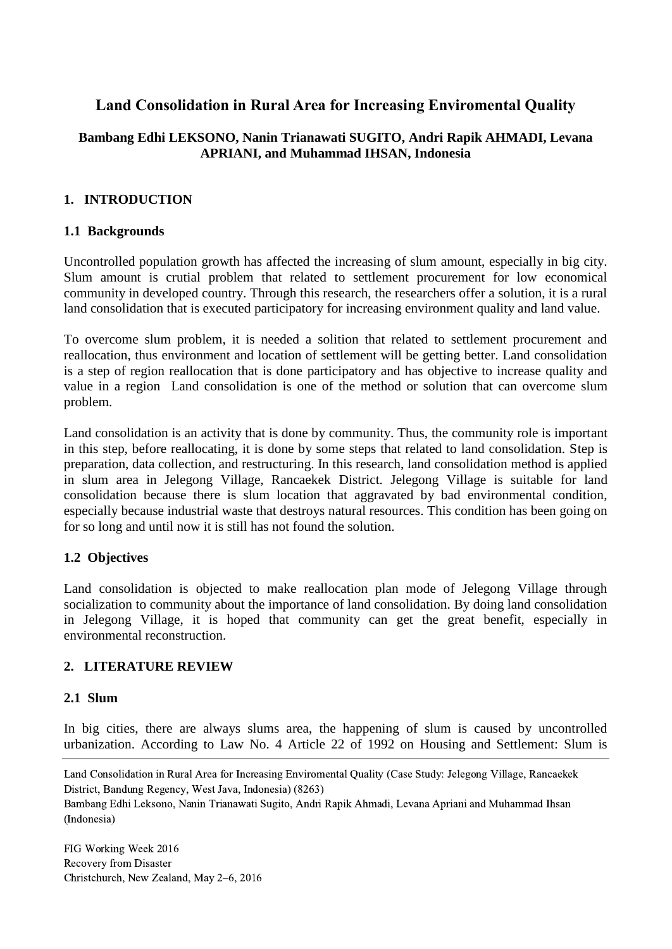# **Land Consolidation in Rural Area for Increasing Enviromental Quality**

### **Bambang Edhi LEKSONO, Nanin Trianawati SUGITO, Andri Rapik AHMADI, Levana APRIANI, and Muhammad IHSAN, Indonesia**

### **1. INTRODUCTION**

#### **1.1 Backgrounds**

Uncontrolled population growth has affected the increasing of slum amount, especially in big city. Slum amount is crutial problem that related to settlement procurement for low economical community in developed country. Through this research, the researchers offer a solution, it is a rural land consolidation that is executed participatory for increasing environment quality and land value.

To overcome slum problem, it is needed a solition that related to settlement procurement and reallocation, thus environment and location of settlement will be getting better. Land consolidation is a step of region reallocation that is done participatory and has objective to increase quality and value in a region Land consolidation is one of the method or solution that can overcome slum problem.

Land consolidation is an activity that is done by community. Thus, the community role is important in this step, before reallocating, it is done by some steps that related to land consolidation. Step is preparation, data collection, and restructuring. In this research, land consolidation method is applied in slum area in Jelegong Village, Rancaekek District. Jelegong Village is suitable for land consolidation because there is slum location that aggravated by bad environmental condition, especially because industrial waste that destroys natural resources. This condition has been going on for so long and until now it is still has not found the solution.

#### **1.2 Objectives**

Land consolidation is objected to make reallocation plan mode of Jelegong Village through socialization to community about the importance of land consolidation. By doing land consolidation in Jelegong Village, it is hoped that community can get the great benefit, especially in environmental reconstruction.

#### **2. LITERATURE REVIEW**

#### **2.1 Slum**

In big cities, there are always slums area, the happening of slum is caused by uncontrolled urbanization. According to Law No. 4 Article 22 of 1992 on Housing and Settlement: Slum is

Land Consolidation in Rural Area for Increasing Enviromental Quality (Case Study: Jelegong Village, Rancaekek District, Bandung Regency, West Java, Indonesia) (8263)

Bambang Edhi Leksono, Nanin Trianawati Sugito, Andri Rapik Ahmadi, Levana Apriani and Muhammad Ihsan (Indonesia)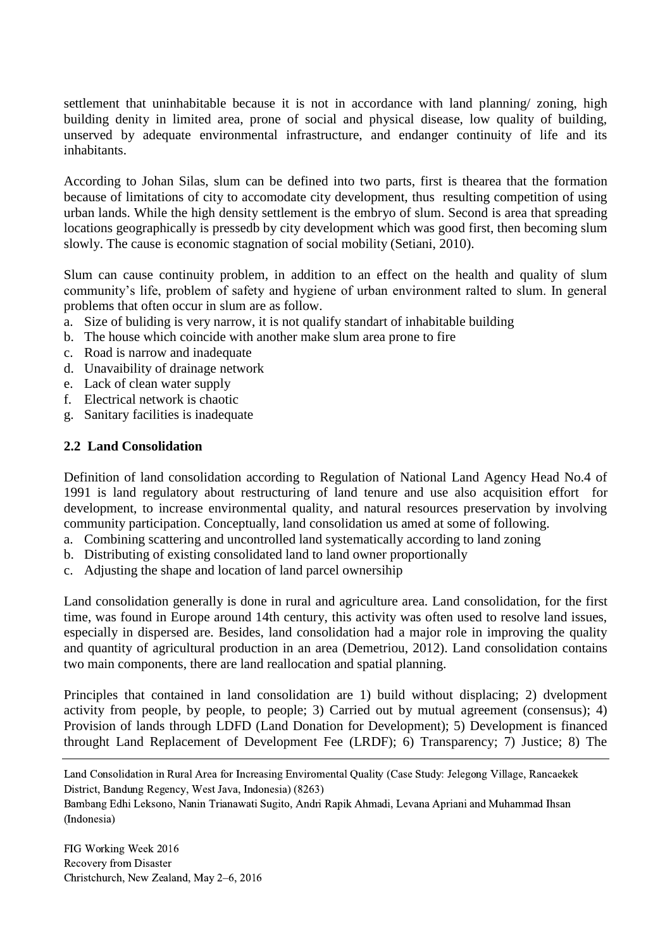settlement that uninhabitable because it is not in accordance with land planning/ zoning, high building denity in limited area, prone of social and physical disease, low quality of building, unserved by adequate environmental infrastructure, and endanger continuity of life and its inhabitants.

According to Johan Silas, slum can be defined into two parts, first is thearea that the formation because of limitations of city to accomodate city development, thus resulting competition of using urban lands. While the high density settlement is the embryo of slum. Second is area that spreading locations geographically is pressedb by city development which was good first, then becoming slum slowly. The cause is economic stagnation of social mobility (Setiani, 2010).

Slum can cause continuity problem, in addition to an effect on the health and quality of slum community's life, problem of safety and hygiene of urban environment ralted to slum. In general problems that often occur in slum are as follow.

- a. Size of buliding is very narrow, it is not qualify standart of inhabitable building
- b. The house which coincide with another make slum area prone to fire
- c. Road is narrow and inadequate
- d. Unavaibility of drainage network
- e. Lack of clean water supply
- f. Electrical network is chaotic
- g. Sanitary facilities is inadequate

### **2.2 Land Consolidation**

Definition of land consolidation according to Regulation of National Land Agency Head No.4 of 1991 is land regulatory about restructuring of land tenure and use also acquisition effort for development, to increase environmental quality, and natural resources preservation by involving community participation. Conceptually, land consolidation us amed at some of following.

- a. Combining scattering and uncontrolled land systematically according to land zoning
- b. Distributing of existing consolidated land to land owner proportionally
- c. Adjusting the shape and location of land parcel ownersihip

Land consolidation generally is done in rural and agriculture area. Land consolidation, for the first time, was found in Europe around 14th century, this activity was often used to resolve land issues, especially in dispersed are. Besides, land consolidation had a major role in improving the quality and quantity of agricultural production in an area (Demetriou, 2012). Land consolidation contains two main components, there are land reallocation and spatial planning.

Principles that contained in land consolidation are 1) build without displacing; 2) dvelopment activity from people, by people, to people; 3) Carried out by mutual agreement (consensus); 4) Provision of lands through LDFD (Land Donation for Development); 5) Development is financed throught Land Replacement of Development Fee (LRDF); 6) Transparency; 7) Justice; 8) The

Land Consolidation in Rural Area for Increasing Enviromental Quality (Case Study: Jelegong Village, Rancaekek District, Bandung Regency, West Java, Indonesia) (8263)

Bambang Edhi Leksono, Nanin Trianawati Sugito, Andri Rapik Ahmadi, Levana Apriani and Muhammad Ihsan (Indonesia)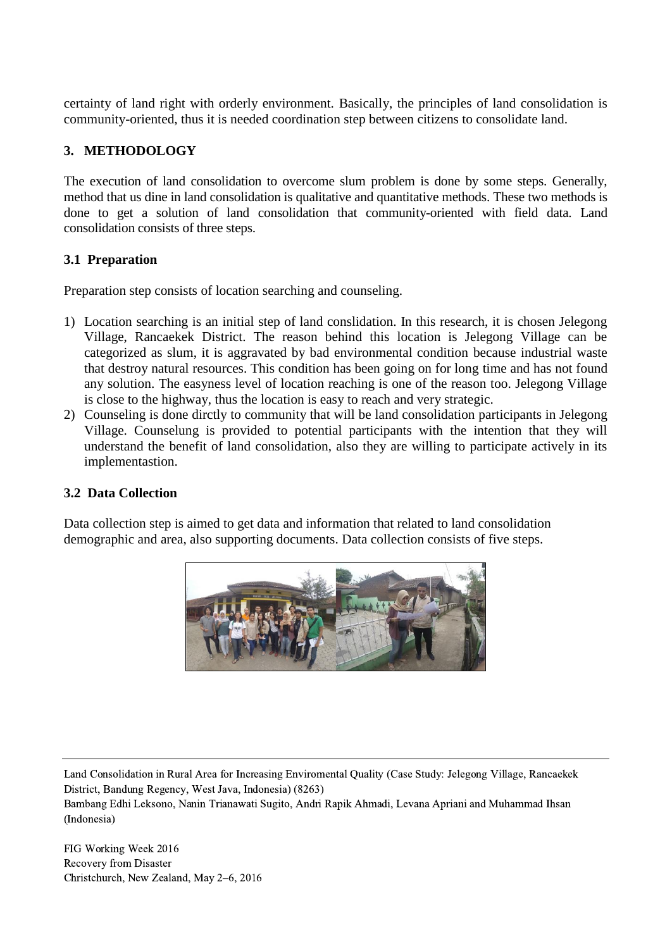certainty of land right with orderly environment. Basically, the principles of land consolidation is community-oriented, thus it is needed coordination step between citizens to consolidate land.

# **3. METHODOLOGY**

The execution of land consolidation to overcome slum problem is done by some steps. Generally, method that us dine in land consolidation is qualitative and quantitative methods. These two methods is done to get a solution of land consolidation that community-oriented with field data. Land consolidation consists of three steps.

### **3.1 Preparation**

Preparation step consists of location searching and counseling.

- 1) Location searching is an initial step of land conslidation. In this research, it is chosen Jelegong Village, Rancaekek District. The reason behind this location is Jelegong Village can be categorized as slum, it is aggravated by bad environmental condition because industrial waste that destroy natural resources. This condition has been going on for long time and has not found any solution. The easyness level of location reaching is one of the reason too. Jelegong Village is close to the highway, thus the location is easy to reach and very strategic.
- 2) Counseling is done dirctly to community that will be land consolidation participants in Jelegong Village. Counselung is provided to potential participants with the intention that they will understand the benefit of land consolidation, also they are willing to participate actively in its implementastion.

#### **3.2 Data Collection**

Data collection step is aimed to get data and information that related to land consolidation demographic and area, also supporting documents. Data collection consists of five steps.



Land Consolidation in Rural Area for Increasing Enviromental Quality (Case Study: Jelegong Village, Rancaekek District, Bandung Regency, West Java, Indonesia) (8263)

Bambang Edhi Leksono, Nanin Trianawati Sugito, Andri Rapik Ahmadi, Levana Apriani and Muhammad Ihsan (Indonesia)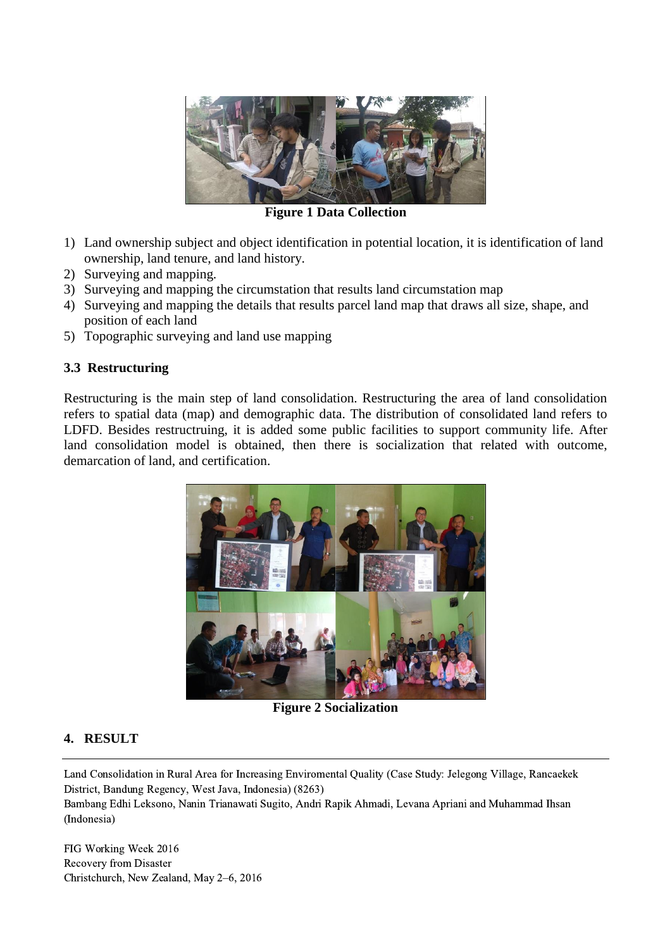

**Figure 1 Data Collection**

- 1) Land ownership subject and object identification in potential location, it is identification of land ownership, land tenure, and land history.
- 2) Surveying and mapping.
- 3) Surveying and mapping the circumstation that results land circumstation map
- 4) Surveying and mapping the details that results parcel land map that draws all size, shape, and position of each land
- 5) Topographic surveying and land use mapping

#### **3.3 Restructuring**

Restructuring is the main step of land consolidation. Restructuring the area of land consolidation refers to spatial data (map) and demographic data. The distribution of consolidated land refers to LDFD. Besides restructruing, it is added some public facilities to support community life. After land consolidation model is obtained, then there is socialization that related with outcome, demarcation of land, and certification.



**Figure 2 Socialization**

#### **4. RESULT**

Land Consolidation in Rural Area for Increasing Enviromental Quality (Case Study: Jelegong Village, Rancaekek District, Bandung Regency, West Java, Indonesia) (8263)

Bambang Edhi Leksono, Nanin Trianawati Sugito, Andri Rapik Ahmadi, Levana Apriani and Muhammad Ihsan (Indonesia)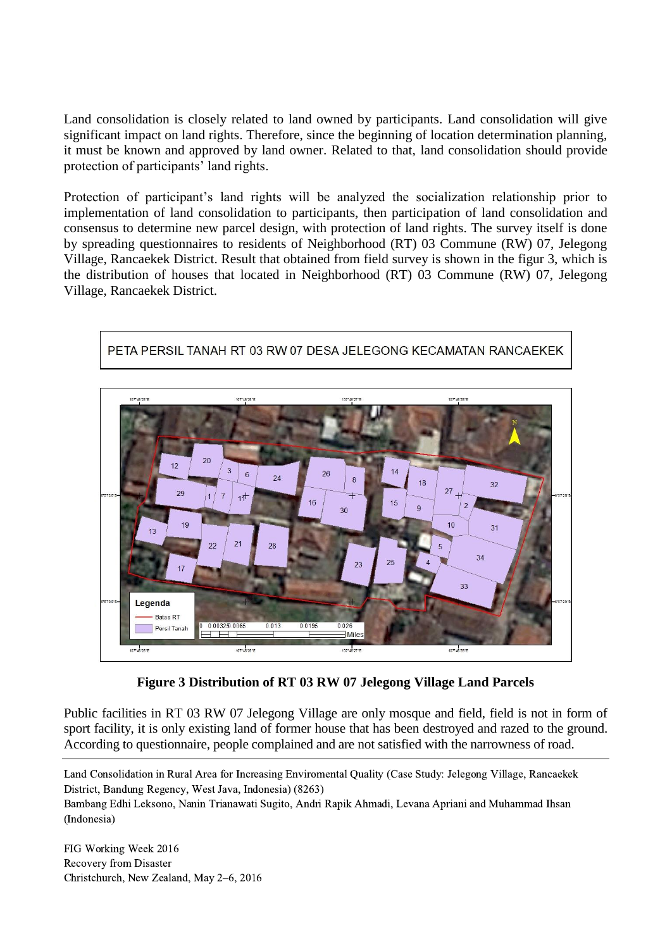Land consolidation is closely related to land owned by participants. Land consolidation will give significant impact on land rights. Therefore, since the beginning of location determination planning, it must be known and approved by land owner. Related to that, land consolidation should provide protection of participants' land rights.

Protection of participant's land rights will be analyzed the socialization relationship prior to implementation of land consolidation to participants, then participation of land consolidation and consensus to determine new parcel design, with protection of land rights. The survey itself is done by spreading questionnaires to residents of Neighborhood (RT) 03 Commune (RW) 07, Jelegong Village, Rancaekek District. Result that obtained from field survey is shown in the figur 3, which is the distribution of houses that located in Neighborhood (RT) 03 Commune (RW) 07, Jelegong Village, Rancaekek District.



PETA PERSIL TANAH RT 03 RW 07 DESA JELEGONG KECAMATAN RANCAEKEK

**Figure 3 Distribution of RT 03 RW 07 Jelegong Village Land Parcels**

Public facilities in RT 03 RW 07 Jelegong Village are only mosque and field, field is not in form of sport facility, it is only existing land of former house that has been destroyed and razed to the ground. According to questionnaire, people complained and are not satisfied with the narrowness of road.

Land Consolidation in Rural Area for Increasing Enviromental Quality (Case Study: Jelegong Village, Rancaekek District, Bandung Regency, West Java, Indonesia) (8263)

Bambang Edhi Leksono, Nanin Trianawati Sugito, Andri Rapik Ahmadi, Levana Apriani and Muhammad Ihsan (Indonesia)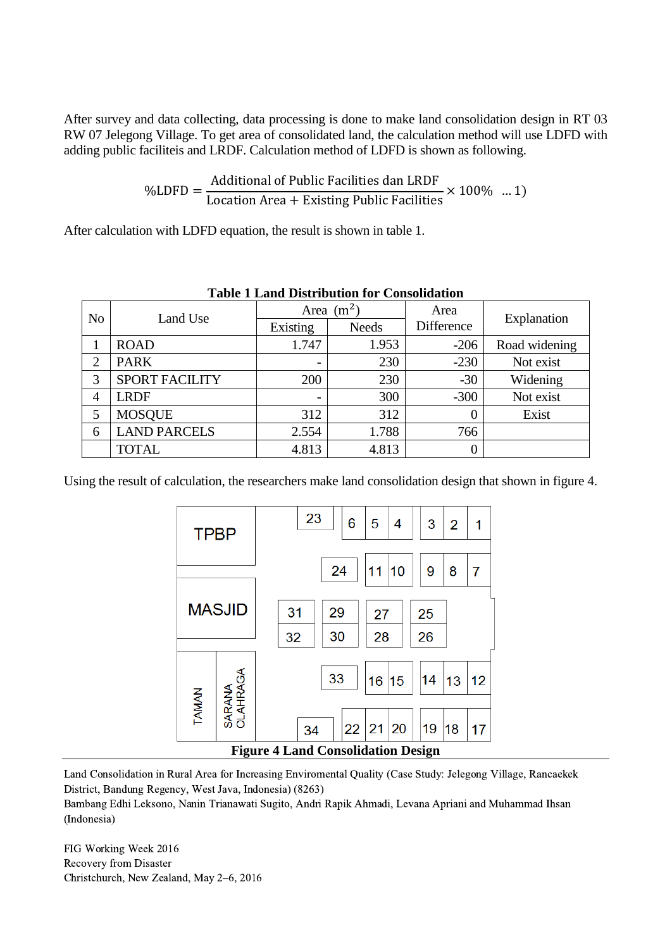After survey and data collecting, data processing is done to make land consolidation design in RT 03 RW 07 Jelegong Village. To get area of consolidated land, the calculation method will use LDFD with adding public faciliteis and LRDF. Calculation method of LDFD is shown as following.

> $\%$ LDFD  $=$ Additional of Public Facilities dan LRDF Location Area + Existing Public Facilities  $\times$  100% ... 1)

After calculation with LDFD equation, the result is shown in table 1.

| Table 1 Land Distribution for Consolidation |                       |              |              |                  |               |
|---------------------------------------------|-----------------------|--------------|--------------|------------------|---------------|
| N <sub>o</sub>                              | Land Use              | Area $(m^2)$ |              | Area             | Explanation   |
|                                             |                       | Existing     | <b>Needs</b> | Difference       |               |
|                                             | <b>ROAD</b>           | 1.747        | 1.953        | $-206$           | Road widening |
| $\overline{2}$                              | <b>PARK</b>           | -            | 230          | $-230$           | Not exist     |
| 3                                           | <b>SPORT FACILITY</b> | 200          | 230          | $-30$            | Widening      |
| $\overline{4}$                              | <b>LRDF</b>           |              | 300          | $-300$           | Not exist     |
| 5                                           | <b>MOSQUE</b>         | 312          | 312          | $\overline{0}$   | Exist         |
| 6                                           | <b>LAND PARCELS</b>   | 2.554        | 1.788        | 766              |               |
|                                             | <b>TOTAL</b>          | 4.813        | 4.813        | $\boldsymbol{0}$ |               |

**Table 1 Land Distribution for Consolidation**

Using the result of calculation, the researchers make land consolidation design that shown in figure 4.



Land Consolidation in Rural Area for Increasing Enviromental Quality (Case Study: Jelegong Village, Rancaekek District, Bandung Regency, West Java, Indonesia) (8263)

Bambang Edhi Leksono, Nanin Trianawati Sugito, Andri Rapik Ahmadi, Levana Apriani and Muhammad Ihsan (Indonesia)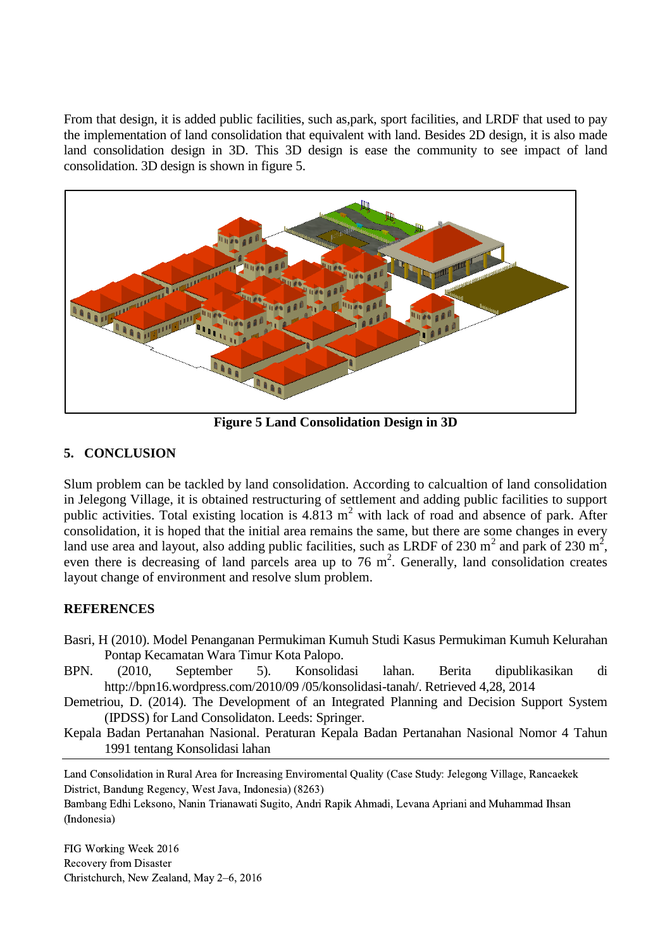From that design, it is added public facilities, such as, park, sport facilities, and LRDF that used to pay the implementation of land consolidation that equivalent with land. Besides 2D design, it is also made land consolidation design in 3D. This 3D design is ease the community to see impact of land consolidation. 3D design is shown in figure 5.



**Figure 5 Land Consolidation Design in 3D**

# **5. CONCLUSION**

Slum problem can be tackled by land consolidation. According to calcualtion of land consolidation in Jelegong Village, it is obtained restructuring of settlement and adding public facilities to support public activities. Total existing location is  $4.813 \text{ m}^2$  with lack of road and absence of park. After consolidation, it is hoped that the initial area remains the same, but there are some changes in every land use area and layout, also adding public facilities, such as LRDF of 230 m<sup>2</sup> and park of 230 m<sup>2</sup>, even there is decreasing of land parcels area up to  $76 \text{ m}^2$ . Generally, land consolidation creates layout change of environment and resolve slum problem.

## **REFERENCES**

- Basri, H (2010). Model Penanganan Permukiman Kumuh Studi Kasus Permukiman Kumuh Kelurahan Pontap Kecamatan Wara Timur Kota Palopo.
- BPN. (2010, September 5). Konsolidasi lahan. Berita dipublikasikan di http://bpn16.wordpress.com/2010/09 /05/konsolidasi-tanah/. Retrieved 4,28, 2014
- Demetriou, D. (2014). The Development of an Integrated Planning and Decision Support System (IPDSS) for Land Consolidaton. Leeds: Springer.
- Kepala Badan Pertanahan Nasional. Peraturan Kepala Badan Pertanahan Nasional Nomor 4 Tahun 1991 tentang Konsolidasi lahan

Land Consolidation in Rural Area for Increasing Enviromental Quality (Case Study: Jelegong Village, Rancaekek District, Bandung Regency, West Java, Indonesia) (8263)

Bambang Edhi Leksono, Nanin Trianawati Sugito, Andri Rapik Ahmadi, Levana Apriani and Muhammad Ihsan (Indonesia)